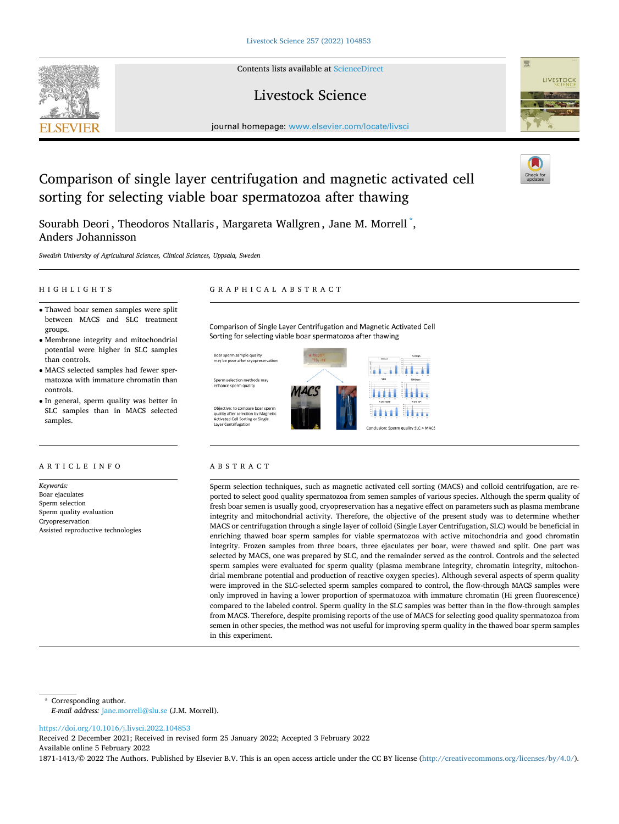Contents lists available at [ScienceDirect](www.sciencedirect.com/science/journal/18711413)

# Livestock Science

journal homepage: [www.elsevier.com/locate/livsci](https://www.elsevier.com/locate/livsci) 



Sourabh Deori , Theodoros Ntallaris , Margareta Wallgren , Jane M. Morrell  $\mathring{\,}$  , Anders Johannisson

*Swedish University of Agricultural Sciences, Clinical Sciences, Uppsala, Sweden* 

groups.

controls.

samples.

*Keywords:*  Boar ejaculates Sperm selection Sperm quality evaluation Cryopreservation

ARTICLE INFO

Assisted reproductive technologies

than controls.

• Thawed boar semen samples were split between MACS and SLC treatment

• Membrane integrity and mitochondrial potential were higher in SLC samples

• MACS selected samples had fewer spermatozoa with immature chromatin than

• In general, sperm quality was better in SLC samples than in MACS selected

# HIGHLIGHTS GRAPHICAL ABSTRACT

Comparison of Single Layer Centrifugation and Magnetic Activated Cell Sorting for selecting viable boar spermatozoa after thawing

Boar sperm sample quality<br>may be poor after cryopreservatior

Sperm selection methods may enhance sperm quality

Objective: to compare boar sperm<br>quality after selection by Magnetii<br>Activated Cell Sorting or Single Layer Centrifugation



# ABSTRACT

Sperm selection techniques, such as magnetic activated cell sorting (MACS) and colloid centrifugation, are reported to select good quality spermatozoa from semen samples of various species. Although the sperm quality of fresh boar semen is usually good, cryopreservation has a negative effect on parameters such as plasma membrane integrity and mitochondrial activity. Therefore, the objective of the present study was to determine whether MACS or centrifugation through a single layer of colloid (Single Layer Centrifugation, SLC) would be beneficial in enriching thawed boar sperm samples for viable spermatozoa with active mitochondria and good chromatin integrity. Frozen samples from three boars, three ejaculates per boar, were thawed and split. One part was selected by MACS, one was prepared by SLC, and the remainder served as the control. Controls and the selected sperm samples were evaluated for sperm quality (plasma membrane integrity, chromatin integrity, mitochondrial membrane potential and production of reactive oxygen species). Although several aspects of sperm quality were improved in the SLC-selected sperm samples compared to control, the flow-through MACS samples were only improved in having a lower proportion of spermatozoa with immature chromatin (Hi green fluorescence) compared to the labeled control. Sperm quality in the SLC samples was better than in the flow-through samples from MACS. Therefore, despite promising reports of the use of MACS for selecting good quality spermatozoa from semen in other species, the method was not useful for improving sperm quality in the thawed boar sperm samples in this experiment.

\* Corresponding author. *E-mail address:* [jane.morrell@slu.se](mailto:jane.morrell@slu.se) (J.M. Morrell).

<https://doi.org/10.1016/j.livsci.2022.104853>

Available online 5 February 2022 Received 2 December 2021; Received in revised form 25 January 2022; Accepted 3 February 2022

1871-1413/© 2022 The Authors. Published by Elsevier B.V. This is an open access article under the CC BY license [\(http://creativecommons.org/licenses/by/4.0/\)](http://creativecommons.org/licenses/by/4.0/).





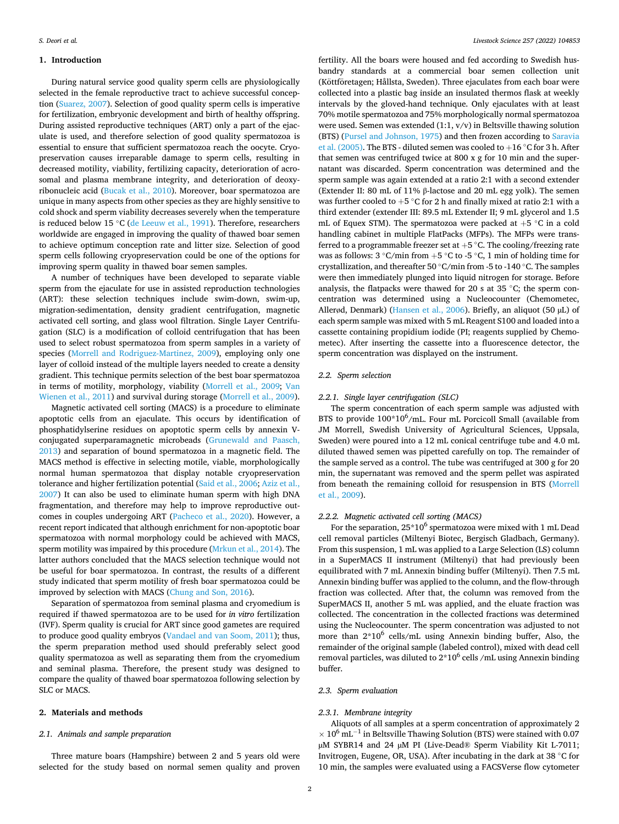#### **1. Introduction**

During natural service good quality sperm cells are physiologically selected in the female reproductive tract to achieve successful conception ([Suarez, 2007\)](#page-4-0). Selection of good quality sperm cells is imperative for fertilization, embryonic development and birth of healthy offspring. During assisted reproductive techniques (ART) only a part of the ejaculate is used, and therefore selection of good quality spermatozoa is essential to ensure that sufficient spermatozoa reach the oocyte. Cryopreservation causes irreparable damage to sperm cells, resulting in decreased motility, viability, fertilizing capacity, deterioration of acrosomal and plasma membrane integrity, and deterioration of deoxyribonucleic acid [\(Bucak et al., 2010\)](#page-4-0). Moreover, boar spermatozoa are unique in many aspects from other species as they are highly sensitive to cold shock and sperm viability decreases severely when the temperature is reduced below 15 ◦C [\(de Leeuw et al., 1991](#page-4-0)). Therefore, researchers worldwide are engaged in improving the quality of thawed boar semen to achieve optimum conception rate and litter size. Selection of good sperm cells following cryopreservation could be one of the options for improving sperm quality in thawed boar semen samples.

A number of techniques have been developed to separate viable sperm from the ejaculate for use in assisted reproduction technologies (ART): these selection techniques include swim-down, swim-up, migration-sedimentation, density gradient centrifugation, magnetic activated cell sorting, and glass wool filtration. Single Layer Centrifugation (SLC) is a modification of colloid centrifugation that has been used to select robust spermatozoa from sperm samples in a variety of species ([Morrell and Rodriguez-Martinez, 2009\)](#page-4-0), employing only one layer of colloid instead of the multiple layers needed to create a density gradient. This technique permits selection of the best boar spermatozoa in terms of motility, morphology, viability ([Morrell et al., 2009](#page-4-0); [Van](#page-4-0)  [Wienen et al., 2011\)](#page-4-0) and survival during storage ([Morrell et al., 2009](#page-4-0)).

Magnetic activated cell sorting (MACS) is a procedure to eliminate apoptotic cells from an ejaculate. This occurs by identification of phosphatidylserine residues on apoptotic sperm cells by annexin Vconjugated superparamagnetic microbeads [\(Grunewald and Paasch,](#page-4-0)  [2013\)](#page-4-0) and separation of bound spermatozoa in a magnetic field. The MACS method is effective in selecting motile, viable, morphologically normal human spermatozoa that display notable cryopreservation tolerance and higher fertilization potential ([Said et al., 2006; Aziz et al.,](#page-4-0)  [2007\)](#page-4-0) It can also be used to eliminate human sperm with high DNA fragmentation, and therefore may help to improve reproductive outcomes in couples undergoing ART [\(Pacheco et al., 2020\)](#page-4-0). However, a recent report indicated that although enrichment for non-apoptotic boar spermatozoa with normal morphology could be achieved with MACS, sperm motility was impaired by this procedure [\(Mrkun et al., 2014](#page-4-0)). The latter authors concluded that the MACS selection technique would not be useful for boar spermatozoa. In contrast, the results of a different study indicated that sperm motility of fresh boar spermatozoa could be improved by selection with MACS [\(Chung and Son, 2016\)](#page-4-0).

Separation of spermatozoa from seminal plasma and cryomedium is required if thawed spermatozoa are to be used for *in vitro* fertilization (IVF). Sperm quality is crucial for ART since good gametes are required to produce good quality embryos [\(Vandael and van Soom, 2011\)](#page-4-0); thus, the sperm preparation method used should preferably select good quality spermatozoa as well as separating them from the cryomedium and seminal plasma. Therefore, the present study was designed to compare the quality of thawed boar spermatozoa following selection by SLC or MACS.

# **2. Materials and methods**

# *2.1. Animals and sample preparation*

Three mature boars (Hampshire) between 2 and 5 years old were selected for the study based on normal semen quality and proven

fertility. All the boars were housed and fed according to Swedish husbandry standards at a commercial boar semen collection unit (Köttföretagen; Hållsta, Sweden). Three ejaculates from each boar were collected into a plastic bag inside an insulated thermos flask at weekly intervals by the gloved-hand technique. Only ejaculates with at least 70% motile spermatozoa and 75% morphologically normal spermatozoa were used. Semen was extended (1:1, v/v) in Beltsville thawing solution (BTS) ([Pursel and Johnson, 1975\)](#page-4-0) and then frozen according to [Saravia](#page-4-0)  [et al. \(2005\)](#page-4-0). The BTS - diluted semen was cooled to +16 °C for 3 h. After that semen was centrifuged twice at 800 x g for 10 min and the supernatant was discarded. Sperm concentration was determined and the sperm sample was again extended at a ratio 2:1 with a second extender (Extender II: 80 mL of 11% β-lactose and 20 mL egg yolk). The semen was further cooled to +5  $^{\circ}$ C for 2 h and finally mixed at ratio 2:1 with a third extender (extender III: 89.5 mL Extender II; 9 mL glycerol and 1.5 mL of Equex STM). The spermatozoa were packed at  $+5$  °C in a cold handling cabinet in multiple FlatPacks (MFPs). The MFPs were transferred to a programmable freezer set at  $+5$  °C. The cooling/freezing rate was as follows:  $3 °C/min$  from  $+5 °C$  to  $-5 °C$ , 1 min of holding time for crystallization, and thereafter 50 ◦C/min from -5 to -140 ◦C. The samples were then immediately plunged into liquid nitrogen for storage. Before analysis, the flatpacks were thawed for 20 s at 35 ◦C; the sperm concentration was determined using a Nucleocounter (Chemometec, Allerød, Denmark) ([Hansen et al., 2006](#page-4-0)). Briefly, an aliquot (50 µL) of each sperm sample was mixed with 5 mL Reagent S100 and loaded into a cassette containing propidium iodide (PI; reagents supplied by Chemometec). After inserting the cassette into a fluorescence detector, the sperm concentration was displayed on the instrument.

#### *2.2. Sperm selection*

### *2.2.1. Single layer centrifugation (SLC)*

The sperm concentration of each sperm sample was adjusted with BTS to provide  $100*10^6$ /mL. Four mL Porcicoll Small (available from JM Morrell, Swedish University of Agricultural Sciences, Uppsala, Sweden) were poured into a 12 mL conical centrifuge tube and 4.0 mL diluted thawed semen was pipetted carefully on top. The remainder of the sample served as a control. The tube was centrifuged at 300 g for 20 min, the supernatant was removed and the sperm pellet was aspirated from beneath the remaining colloid for resuspension in BTS [\(Morrell](#page-4-0)  [et al., 2009\)](#page-4-0).

# *2.2.2. Magnetic activated cell sorting (MACS)*

For the separation,  $25*10^6$  spermatozoa were mixed with 1 mL Dead cell removal particles (Miltenyi Biotec, Bergisch Gladbach, Germany). From this suspension, 1 mL was applied to a Large Selection (LS) column in a SuperMACS II instrument (Miltenyi) that had previously been equilibrated with 7 mL Annexin binding buffer (Miltenyi). Then 7.5 mL Annexin binding buffer was applied to the column, and the flow-through fraction was collected. After that, the column was removed from the SuperMACS II, another 5 mL was applied, and the eluate fraction was collected. The concentration in the collected fractions was determined using the Nucleocounter. The sperm concentration was adjusted to not more than  $2*10^6$  cells/mL using Annexin binding buffer, Also, the remainder of the original sample (labeled control), mixed with dead cell removal particles, was diluted to  $2*10^6$  cells /mL using Annexin binding buffer.

#### *2.3. Sperm evaluation*

#### *2.3.1. Membrane integrity*

Aliquots of all samples at a sperm concentration of approximately 2  $\times 10^6$  mL<sup>-1</sup> in Beltsville Thawing Solution (BTS) were stained with 0.07 µM SYBR14 and 24 µM PI (Live-Dead® Sperm Viability Kit L-7011; Invitrogen, Eugene, OR, USA). After incubating in the dark at 38 ◦C for 10 min, the samples were evaluated using a FACSVerse flow cytometer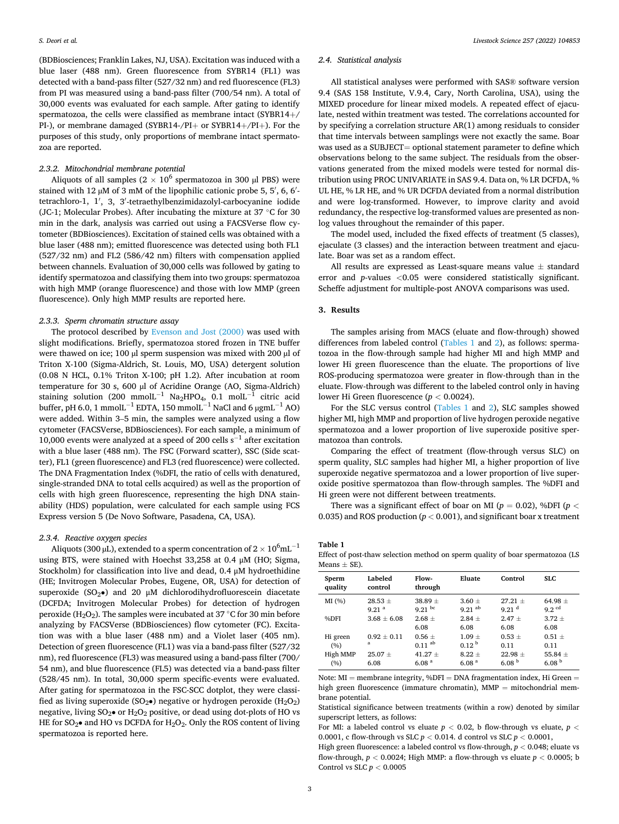(BDBiosciences; Franklin Lakes, NJ, USA). Excitation was induced with a blue laser (488 nm). Green fluorescence from SYBR14 (FL1) was detected with a band-pass filter (527/32 nm) and red fluorescence (FL3) from PI was measured using a band-pass filter (700/54 nm). A total of 30,000 events was evaluated for each sample. After gating to identify spermatozoa, the cells were classified as membrane intact (SYBR14+/ PI-), or membrane damaged (SYBR14-/PI+ or SYBR14+/PI+). For the purposes of this study, only proportions of membrane intact spermatozoa are reported.

#### *2.3.2. Mitochondrial membrane potential*

Aliquots of all samples ( $2 \times 10^6$  spermatozoa in 300 µl PBS) were stained with 12 µM of 3 mM of the lipophilic cationic probe 5, 5', 6, 6'tetrachloro-1, 1′ , 3, 3′ -tetraethylbenzimidazolyl-carbocyanine iodide (JC-1; Molecular Probes). After incubating the mixture at 37 ◦C for 30 min in the dark, analysis was carried out using a FACSVerse flow cytometer (BDBiosciences). Excitation of stained cells was obtained with a blue laser (488 nm); emitted fluorescence was detected using both FL1 (527/32 nm) and FL2 (586/42 nm) filters with compensation applied between channels. Evaluation of 30,000 cells was followed by gating to identify spermatozoa and classifying them into two groups: spermatozoa with high MMP (orange fluorescence) and those with low MMP (green fluorescence). Only high MMP results are reported here.

# *2.3.3. Sperm chromatin structure assay*

The protocol described by [Evenson and Jost \(2000\)](#page-4-0) was used with slight modifications. Briefly, spermatozoa stored frozen in TNE buffer were thawed on ice; 100 µl sperm suspension was mixed with 200 µl of Triton X-100 (Sigma-Aldrich, St. Louis, MO, USA) detergent solution (0.08 N HCL, 0.1% Triton X-100; pH 1.2). After incubation at room temperature for 30 s, 600 µl of Acridine Orange (AO, Sigma-Aldrich) staining solution (200 mmolL<sup>-1</sup> Na<sub>2</sub>HPO<sub>4</sub>, 0.1 molL<sup>-1</sup> citric acid buffer, pH 6.0, 1 mmolL<sup>-1</sup> EDTA, 150 mmolL<sup>-1</sup> NaCl and 6  $\mu$ gmL<sup>-1</sup> AO) were added. Within 3–5 min, the samples were analyzed using a flow cytometer (FACSVerse, BDBiosciences). For each sample, a minimum of 10,000 events were analyzed at a speed of 200 cells  $s^{-1}$  after excitation with a blue laser (488 nm). The FSC (Forward scatter), SSC (Side scatter), FL1 (green fluorescence) and FL3 (red fluorescence) were collected. The DNA Fragmentation Index (%DFI, the ratio of cells with denatured, single-stranded DNA to total cells acquired) as well as the proportion of cells with high green fluorescence, representing the high DNA stainability (HDS) population, were calculated for each sample using FCS Express version 5 (De Novo Software, Pasadena, CA, USA).

#### *2.3.4. Reactive oxygen species*

Aliquots (300 µL), extended to a sperm concentration of  $2\times10^6$ mL $^{-1}$ using BTS, were stained with Hoechst 33,258 at 0.4 μM (HO; Sigma, Stockholm) for classification into live and dead, 0.4 μM hydroethidine (HE; Invitrogen Molecular Probes, Eugene, OR, USA) for detection of superoxide ( $SO_2\bullet$ ) and 20 µM dichlorodihydrofluorescein diacetate (DCFDA; Invitrogen Molecular Probes) for detection of hydrogen peroxide (H<sub>2</sub>O<sub>2</sub>). The samples were incubated at 37 °C for 30 min before analyzing by FACSVerse (BDBiosciences) flow cytometer (FC). Excitation was with a blue laser (488 nm) and a Violet laser (405 nm). Detection of green fluorescence (FL1) was via a band-pass filter (527/32 nm), red fluorescence (FL3) was measured using a band-pass filter (700/ 54 nm), and blue fluorescence (FL5) was detected via a band-pass filter (528/45 nm). In total, 30,000 sperm specific-events were evaluated. After gating for spermatozoa in the FSC-SCC dotplot, they were classified as living superoxide (SO<sub>2</sub>•) negative or hydrogen peroxide (H<sub>2</sub>O<sub>2</sub>) negative, living  $SO_2\bullet$  or  $H_2O_2$  positive, or dead using dot-plots of HO vs HE for  $SO_2\bullet$  and HO vs DCFDA for  $H_2O_2$ . Only the ROS content of living spermatozoa is reported here.

#### *2.4. Statistical analysis*

All statistical analyses were performed with SAS® software version 9.4 (SAS 158 Institute, V.9.4, Cary, North Carolina, USA), using the MIXED procedure for linear mixed models. A repeated effect of ejaculate, nested within treatment was tested. The correlations accounted for by specifying a correlation structure AR(1) among residuals to consider that time intervals between samplings were not exactly the same. Boar was used as a SUBJECT= optional statement parameter to define which observations belong to the same subject. The residuals from the observations generated from the mixed models were tested for normal distribution using PROC UNIVARIATE in SAS 9.4. Data on, % LR DCFDA, % UL HE, % LR HE, and % UR DCFDA deviated from a normal distribution and were log-transformed. However, to improve clarity and avoid redundancy, the respective log-transformed values are presented as nonlog values throughout the remainder of this paper.

The model used, included the fixed effects of treatment (5 classes), ejaculate (3 classes) and the interaction between treatment and ejaculate. Boar was set as a random effect.

All results are expressed as Least-square means value  $\pm$  standard error and *p*-values *<*0.05 were considered statistically significant. Scheffe adjustment for multiple-post ANOVA comparisons was used.

# **3. Results**

The samples arising from MACS (eluate and flow-through) showed differences from labeled control (Tables 1 and [2\)](#page-3-0), as follows: spermatozoa in the flow-through sample had higher MI and high MMP and lower Hi green fluorescence than the eluate. The proportions of live ROS-producing spermatozoa were greater in flow-through than in the eluate. Flow-through was different to the labeled control only in having lower Hi Green fluorescence (*p <* 0.0024).

For the SLC versus control (Tables 1 and [2\)](#page-3-0), SLC samples showed higher MI, high MMP and proportion of live hydrogen peroxide negative spermatozoa and a lower proportion of live superoxide positive spermatozoa than controls.

Comparing the effect of treatment (flow-through versus SLC) on sperm quality, SLC samples had higher MI, a higher proportion of live superoxide negative spermatozoa and a lower proportion of live superoxide positive spermatozoa than flow-through samples. The %DFI and Hi green were not different between treatments.

There was a significant effect of boar on MI ( $p = 0.02$ ), %DFI ( $p <$ 0.035) and ROS production ( $p < 0.001$ ), and significant boar x treatment

#### **Table 1**

Effect of post-thaw selection method on sperm quality of boar spermatozoa (LS Means  $\pm$  SE).

| Sperm<br>quality | Labeled<br>control | Flow-<br>through     | Eluate               | Control           | SLC.                |
|------------------|--------------------|----------------------|----------------------|-------------------|---------------------|
| MI (%)           | $28.53 +$          | $38.89 \pm$          | $3.60 +$             | $27.21 +$         | $64.98 +$           |
|                  | 9.21 <sup>a</sup>  | $9.21~{\rm^{bc}}$    | $9.21$ <sup>ab</sup> | 9.21 <sup>d</sup> | $9.2$ <sup>cd</sup> |
| %DFI             | $3.68 + 6.08$      | $2.68 +$<br>6.08     | $2.84 +$<br>6.08     | $2.47 +$<br>6.08  | $3.72 +$<br>6.08    |
| Hi green         | $0.92 + 0.11$      | $0.56 +$             | $1.09 +$             | $0.53 +$          | $0.51 +$            |
| (9/6)            | a                  | $0.11$ <sup>ab</sup> | 0.12 <sup>b</sup>    | 0.11              | 0.11                |
| High MMP         | $25.07 +$          | $41.27 +$            | $8.22 +$             | $22.98 +$         | $55.84 +$           |
| (%)              | 6.08               | 6.08 <sup>a</sup>    | 6.08 <sup>a</sup>    | 6.08 <sup>b</sup> | 6.08 <sup>b</sup>   |

Note: MI = membrane integrity, %DFI = DNA fragmentation index, Hi Green = high green fluorescence (immature chromatin), MMP = mitochondrial membrane potential.

Statistical significance between treatments (within a row) denoted by similar superscript letters, as follows:

For MI: a labeled control vs eluate  $p < 0.02$ , b flow-through vs eluate,  $p <$ 0.0001, c flow-through vs SLC *p <* 0.014. d control vs SLC *p <* 0.0001,

High green fluorescence: a labeled control vs flow-through, *p <* 0.048; eluate vs flow-through,  $p < 0.0024$ ; High MMP: a flow-through vs eluate  $p < 0.0005$ ; b Control vs SLC *p <* 0.0005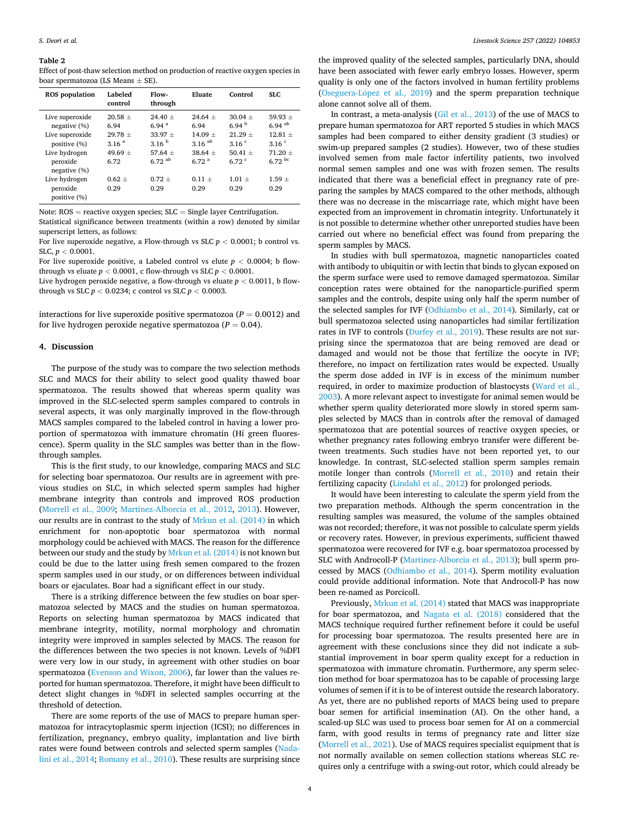#### <span id="page-3-0"></span>**Table 2**

Effect of post-thaw selection method on production of reactive oxygen species in boar spermatozoa (LS Means  $\pm$  SE).

| <b>ROS</b> population                                              | Labeled<br>control                                    | Flow-<br>through                                                 | Eluate                                                 | Control                                                 | SLC.                                                              |
|--------------------------------------------------------------------|-------------------------------------------------------|------------------------------------------------------------------|--------------------------------------------------------|---------------------------------------------------------|-------------------------------------------------------------------|
| Live superoxide<br>negative (%)<br>Live superoxide<br>positive (%) | $20.58 \pm$<br>6.94<br>$29.78 +$<br>3.16 <sup>a</sup> | $24.40 +$<br>6.94 <sup>a</sup><br>$33.97 +$<br>3.16 <sup>b</sup> | $24.64 +$<br>6.94<br>$14.09 +$<br>$3.16$ <sup>ab</sup> | $30.04 +$<br>$6.94^{b}$<br>$21.29 +$<br>3.16 $^{\circ}$ | $59.93 +$<br>$6.94$ <sup>ab</sup><br>$12.81 +$<br>3.16 $^{\circ}$ |
| Live hydrogen<br>peroxide<br>negative (%)                          | 49.69 $\pm$<br>6.72                                   | $57.64 +$<br>$6.72$ <sup>ab</sup>                                | $38.64 +$<br>6.72 <sup>a</sup>                         | $50.41 +$<br>$6.72$ <sup>c</sup>                        | $71.20 +$<br>$6.72$ bc                                            |
| Live hydrogen<br>peroxide<br>positive (%)                          | $0.62 \pm$<br>0.29                                    | $0.72 +$<br>0.29                                                 | $0.11 +$<br>0.29                                       | $1.01 +$<br>0.29                                        | $1.59 +$<br>0.29                                                  |

Note:  $ROS = reactive$  oxygen species;  $SLC = Single$  layer Centrifugation.

Statistical significance between treatments (within a row) denoted by similar superscript letters, as follows:

For live superoxide negative, a Flow-through vs SLC *p <* 0.0001; b control vs. SLC, *p <* 0.0001.

For live superoxide positive, a Labeled control vs elute  $p < 0.0004$ ; b flowthrough vs eluate  $p < 0.0001$ , c flow-through vs SLC  $p < 0.0001$ .

Live hydrogen peroxide negative, a flow-through vs eluate  $p < 0.0011$ , b flowthrough vs SLC  $p < 0.0234$ ; c control vs SLC  $p < 0.0003$ .

interactions for live superoxide positive spermatozoa  $(P = 0.0012)$  and for live hydrogen peroxide negative spermatozoa  $(P = 0.04)$ .

### **4. Discussion**

The purpose of the study was to compare the two selection methods SLC and MACS for their ability to select good quality thawed boar spermatozoa. The results showed that whereas sperm quality was improved in the SLC-selected sperm samples compared to controls in several aspects, it was only marginally improved in the flow-through MACS samples compared to the labeled control in having a lower proportion of spermatozoa with immature chromatin (Hi green fluorescence). Sperm quality in the SLC samples was better than in the flowthrough samples.

This is the first study, to our knowledge, comparing MACS and SLC for selecting boar spermatozoa. Our results are in agreement with previous studies on SLC, in which selected sperm samples had higher membrane integrity than controls and improved ROS production ([Morrell et al., 2009;](#page-4-0) [Martinez-Alborcia et al., 2012,](#page-4-0) [2013\)](#page-4-0). However, our results are in contrast to the study of [Mrkun et al. \(2014\)](#page-4-0) in which enrichment for non-apoptotic boar spermatozoa with normal morphology could be achieved with MACS. The reason for the difference between our study and the study by [Mrkun et al. \(2014\)](#page-4-0) is not known but could be due to the latter using fresh semen compared to the frozen sperm samples used in our study, or on differences between individual boars or ejaculates. Boar had a significant effect in our study.

There is a striking difference between the few studies on boar spermatozoa selected by MACS and the studies on human spermatozoa. Reports on selecting human spermatozoa by MACS indicated that membrane integrity, motility, normal morphology and chromatin integrity were improved in samples selected by MACS. The reason for the differences between the two species is not known. Levels of %DFI were very low in our study, in agreement with other studies on boar spermatozoa ([Evenson and Wixon, 2006](#page-4-0)), far lower than the values reported for human spermatozoa. Therefore, it might have been difficult to detect slight changes in %DFI in selected samples occurring at the threshold of detection.

There are some reports of the use of MACS to prepare human spermatozoa for intracytoplasmic sperm injection (ICSI); no differences in fertilization, pregnancy, embryo quality, implantation and live birth rates were found between controls and selected sperm samples ([Nada](#page-4-0)[lini et al., 2014; Romany et al., 2010\)](#page-4-0). These results are surprising since

the improved quality of the selected samples, particularly DNA, should have been associated with fewer early embryo losses. However, sperm quality is only one of the factors involved in human fertility problems (Oseguera-López et al.,  $2019$ ) and the sperm preparation technique alone cannot solve all of them.

In contrast, a meta-analysis [\(Gil et al., 2013\)](#page-4-0) of the use of MACS to prepare human spermatozoa for ART reported 5 studies in which MACS samples had been compared to either density gradient (3 studies) or swim-up prepared samples (2 studies). However, two of these studies involved semen from male factor infertility patients, two involved normal semen samples and one was with frozen semen. The results indicated that there was a beneficial effect in pregnancy rate of preparing the samples by MACS compared to the other methods, although there was no decrease in the miscarriage rate, which might have been expected from an improvement in chromatin integrity. Unfortunately it is not possible to determine whether other unreported studies have been carried out where no beneficial effect was found from preparing the sperm samples by MACS.

In studies with bull spermatozoa, magnetic nanoparticles coated with antibody to ubiquitin or with lectin that binds to glycan exposed on the sperm surface were used to remove damaged spermatozoa. Similar conception rates were obtained for the nanoparticle-purified sperm samples and the controls, despite using only half the sperm number of the selected samples for IVF [\(Odhiambo et al., 2014](#page-4-0)). Similarly, cat or bull spermatozoa selected using nanoparticles had similar fertilization rates in IVF to controls ([Durfey et al., 2019\)](#page-4-0). These results are not surprising since the spermatozoa that are being removed are dead or damaged and would not be those that fertilize the oocyte in IVF; therefore, no impact on fertilization rates would be expected. Usually the sperm dose added in IVF is in excess of the minimum number required, in order to maximize production of blastocysts [\(Ward et al.,](#page-4-0)  [2003\)](#page-4-0). A more relevant aspect to investigate for animal semen would be whether sperm quality deteriorated more slowly in stored sperm samples selected by MACS than in controls after the removal of damaged spermatozoa that are potential sources of reactive oxygen species, or whether pregnancy rates following embryo transfer were different between treatments. Such studies have not been reported yet, to our knowledge. In contrast, SLC-selected stallion sperm samples remain motile longer than controls [\(Morrell et al., 2010\)](#page-4-0) and retain their fertilizing capacity [\(Lindahl et al., 2012](#page-4-0)) for prolonged periods.

It would have been interesting to calculate the sperm yield from the two preparation methods. Although the sperm concentration in the resulting samples was measured, the volume of the samples obtained was not recorded; therefore, it was not possible to calculate sperm yields or recovery rates. However, in previous experiments, sufficient thawed spermatozoa were recovered for IVF e.g. boar spermatozoa processed by SLC with Androcoll-P [\(Martinez-Alborcia et al., 2013](#page-4-0)); bull sperm processed by MACS [\(Odhiambo et al., 2014\)](#page-4-0). Sperm motility evaluation could provide additional information. Note that Androcoll-P has now been re-named as Porcicoll.

Previously, [Mrkun et al. \(2014\)](#page-4-0) stated that MACS was inappropriate for boar spermatozoa, and [Nagata et al. \(2018\)](#page-4-0) considered that the MACS technique required further refinement before it could be useful for processing boar spermatozoa. The results presented here are in agreement with these conclusions since they did not indicate a substantial improvement in boar sperm quality except for a reduction in spermatozoa with immature chromatin. Furthermore, any sperm selection method for boar spermatozoa has to be capable of processing large volumes of semen if it is to be of interest outside the research laboratory. As yet, there are no published reports of MACS being used to prepare boar semen for artificial insemination (AI). On the other hand, a scaled-up SLC was used to process boar semen for AI on a commercial farm, with good results in terms of pregnancy rate and litter size ([Morrell et al., 2021](#page-4-0)). Use of MACS requires specialist equipment that is not normally available on semen collection stations whereas SLC requires only a centrifuge with a swing-out rotor, which could already be